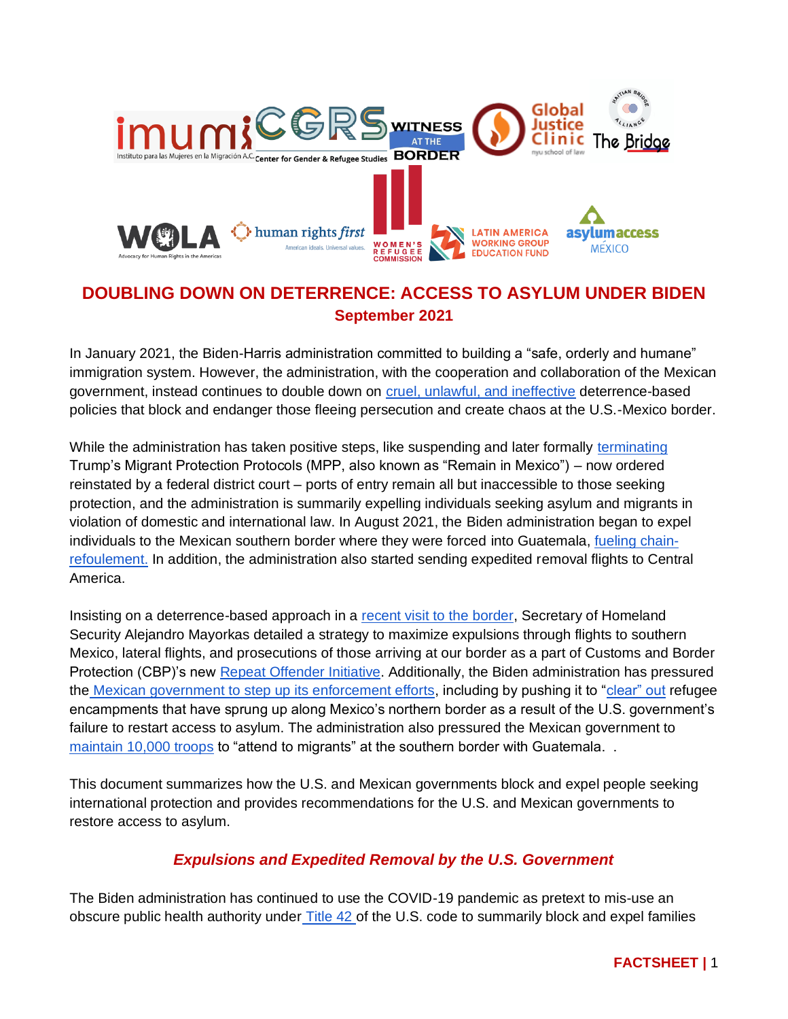

## **DOUBLING DOWN ON DETERRENCE: ACCESS TO ASYLUM UNDER BIDEN September 2021**

In January 2021, the Biden-Harris administration committed to building a "safe, orderly and humane" immigration system. However, the administration, with the cooperation and collaboration of the Mexican government, instead continues to double down on [cruel, unlawful, and ineffective](https://welcomewithdignity.org/wp-content/uploads/2021/08/Joint-Letter-to-President-Biden-on-Expulsion-Flights-to-Southern-Mexico-and-Forthcoming-Changes-to-Asylum-Processing_8132021.pdf) deterrence-based policies that block and endanger those fleeing persecution and create chaos at the U.S.-Mexico border.

While the administration has taken positive steps, like suspending and later formally [terminating](https://www.dhs.gov/sites/default/files/publications/21_0601_termination_of_mpp_program.pdf) Trump's Migrant Protection Protocols (MPP, also known as "Remain in Mexico") – now ordered reinstated by a federal district court – ports of entry remain all but inaccessible to those seeking protection, and the administration is summarily expelling individuals seeking asylum and migrants in violation of domestic and international law. In August 2021, the Biden administration began to expel individuals to the Mexican southern border where they were forced into Guatemala, [fueling chain](https://www.unhcr.org/en-us/news/press/2021/8/6113dfc14/unhcr-concerned-expulsion-flights-under-covid-19-asylum-restrictions.html)[refoulement.](https://www.unhcr.org/en-us/news/press/2021/8/6113dfc14/unhcr-concerned-expulsion-flights-under-covid-19-asylum-restrictions.html) In addition, the administration also started sending expedited removal flights to Central America.

Insisting on a deterrence-based approach in a [recent visit to the border,](https://www.dhs.gov/news/2021/08/12/secretary-mayorkas-delivers-remarks-brownsville-texas) Secretary of Homeland Security Alejandro Mayorkas detailed a strategy to maximize expulsions through flights to southern Mexico, lateral flights, and prosecutions of those arriving at our border as a part of Customs and Border Protection (CBP)'s new [Repeat Offender Initiative.](https://www.cbp.gov/newsroom/national-media-release/cbp-releases-july-2021-operational-update) Additionally, the Biden administration has pressured the [Mexican government to step up its enforcement efforts,](https://www.buzzfeednews.com/article/hamedaleaziz/biden-mexico-migration-requests) including by pushing it to ["clear" out](https://www.reuters.com/world/us/exclusive-us-urges-mexico-clear-migrant-camps-near-border-sources-2021-08-26/) refugee encampments that have sprung up along Mexico's northern border as a result of the U.S. government's failure to restart access to asylum. The administration also pressured the Mexican government to [maintain 10,000 troops](https://apnews.com/article/guatemala-honduras-mexico-immigration-border-patrols-917c0fea87c0a807b371da207d34c8cc) to "attend to migrants" at the southern border with Guatemala. .

This document summarizes how the U.S. and Mexican governments block and expel people seeking international protection and provides recommendations for the U.S. and Mexican governments to restore access to asylum.

## *Expulsions and Expedited Removal by the U.S. Government*

The Biden administration has continued to use the COVID-19 pandemic as pretext to mis-use an obscure public health authority under [Title 42 o](https://www.cdc.gov/media/releases/2021/s080221-southern-northen-land-borders-order-extended.html)f the U.S. code to summarily block and expel families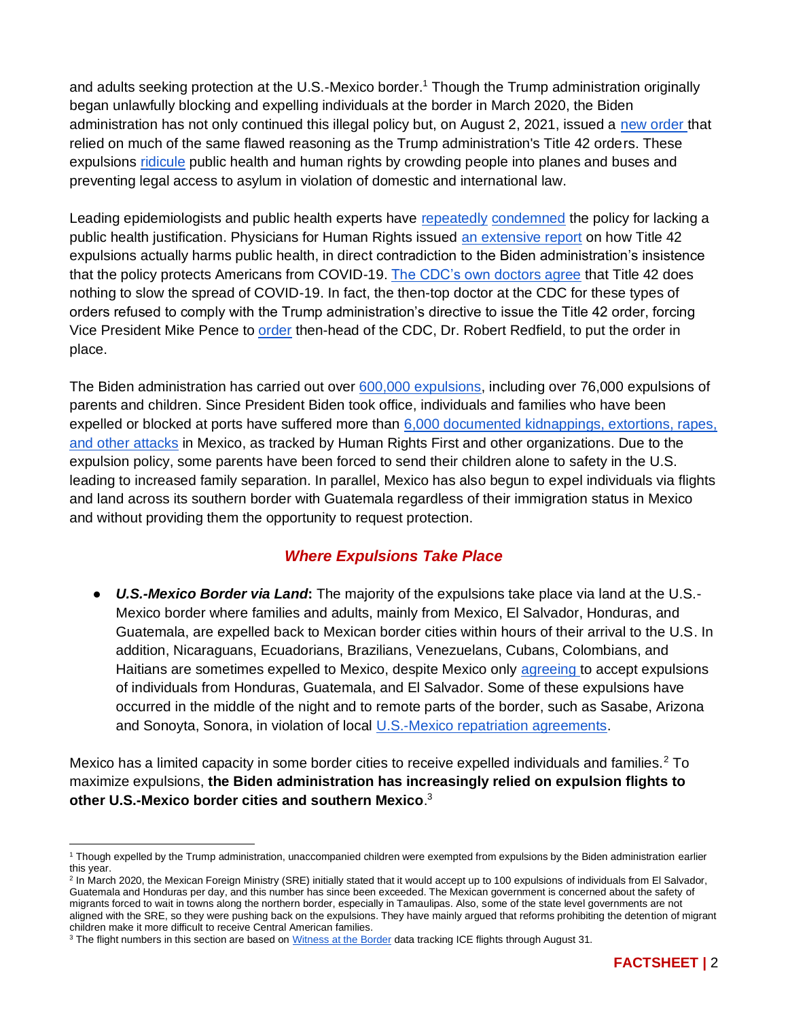and adults seeking protection at the U.S.-Mexico border.<sup>1</sup> Though the Trump administration originally began unlawfully blocking and expelling individuals at the border in March 2020, the Biden administration has not only continued this illegal policy but, on August 2, 2021, issued a new order that relied on much of the same flawed reasoning as the Trump administration's Title 42 orders. These expulsions [ridicule](https://www.publichealth.columbia.edu/research/program-forced-migration-and-health/july-2021-letter-hhs-secretary-becerra-and-cdc-director-walensky-title-42-order) public health and human rights by crowding people into planes and buses and preventing legal access to asylum in violation of domestic and international law.

Leading epidemiologists and public health experts have [repeatedly](https://www.publichealth.columbia.edu/research/program-forced-migration-and-health/letter-acting-hhs-secretary-cochran-and-cdc-director-walensky) [condemned](https://www.publichealth.columbia.edu/node/76271) the policy for lacking a public health justification. Physicians for Human Rights issued [an extensive report](https://phr.org/our-work/resources/neither-safety-nor-health/) on how Title 42 expulsions actually harms public health, in direct contradiction to the Biden administration's insistence that the policy protects Americans from COVID-19. [The CDC's own doctors agree](https://apnews.com/article/virus-outbreak-pandemics-public-health-new-york-health-4ef0c6c5263815a26f8aa17f6ea490ae) that Title 42 does nothing to slow the spread of COVID-19. In fact, the then-top doctor at the CDC for these types of orders refused to comply with the Trump administration's directive to issue the Title 42 order, forcing Vice President Mike Pence to [order](https://apnews.com/article/virus-outbreak-pandemics-public-health-new-york-health-4ef0c6c5263815a26f8aa17f6ea490ae) then-head of the CDC, Dr. Robert Redfield, to put the order in place.

The Biden administration has carried out over [600,000 expulsions,](https://www.cbp.gov/newsroom/stats/southwest-land-border-encounters) including over 76,000 expulsions of parents and children. Since President Biden took office, individuals and families who have been expelled or blocked at ports have suffered more than [6,000 documented kidnappings, extortions, rapes,](https://www.humanrightsfirst.org/resource/human-rights-travesty-biden-administration-embrace-trump-asylum-expulsion-policy-endangers)  [and other attacks](https://www.humanrightsfirst.org/resource/human-rights-travesty-biden-administration-embrace-trump-asylum-expulsion-policy-endangers) in Mexico, as tracked by Human Rights First and other organizations. Due to the expulsion policy, some parents have been forced to send their children alone to safety in the U.S. leading to increased family separation. In parallel, Mexico has also begun to expel individuals via flights and land across its southern border with Guatemala regardless of their immigration status in Mexico and without providing them the opportunity to request protection.

## *Where Expulsions Take Place*

● *U.S.-Mexico Border via Land***:** The majority of the expulsions take place via land at the U.S.- Mexico border where families and adults, mainly from Mexico, El Salvador, Honduras, and Guatemala, are expelled back to Mexican border cities within hours of their arrival to the U.S. In addition, Nicaraguans, Ecuadorians, Brazilians, Venezuelans, Cubans, Colombians, and Haitians are sometimes expelled to Mexico, despite Mexico only [agreeing](https://www.gob.mx/sre/documentos/nota-informativa-relaciones-exteriores-no-11) to accept expulsions of individuals from Honduras, Guatemala, and El Salvador. Some of these expulsions have occurred in the middle of the night and to remote parts of the border, such as Sasabe, Arizona and Sonoyta, Sonora, in violation of local [U.S.-Mexico repatriation agreements.](https://www.dhs.gov/publication/updated-us-mexico-local-repatriation-arrangements)

Mexico has a limited capacity in some border cities to receive expelled individuals and families.<sup>2</sup> To maximize expulsions, **the Biden administration has increasingly relied on expulsion flights to other U.S.-Mexico border cities and southern Mexico**. 3

<sup>2</sup> In March 2020, the Mexican Foreign Ministry (SRE) initially stated that it would accept up to 100 expulsions of individuals from El Salvador, Guatemala and Honduras per day, and this number has since been exceeded. The Mexican government is concerned about the safety of migrants forced to wait in towns along the northern border, especially in Tamaulipas. Also, some of the state level governments are not aligned with the SRE, so they were pushing back on the expulsions. They have mainly argued that reforms prohibiting the detention of migrant children make it more difficult to receive Central American families.

<sup>1</sup> Though expelled by the Trump administration, unaccompanied children were exempted from expulsions by the Biden administration earlier this year.

<sup>&</sup>lt;sup>3</sup> The flight numbers in this section are based on [Witness at the Border](https://witnessattheborder.org/) data tracking ICE flights through August 31.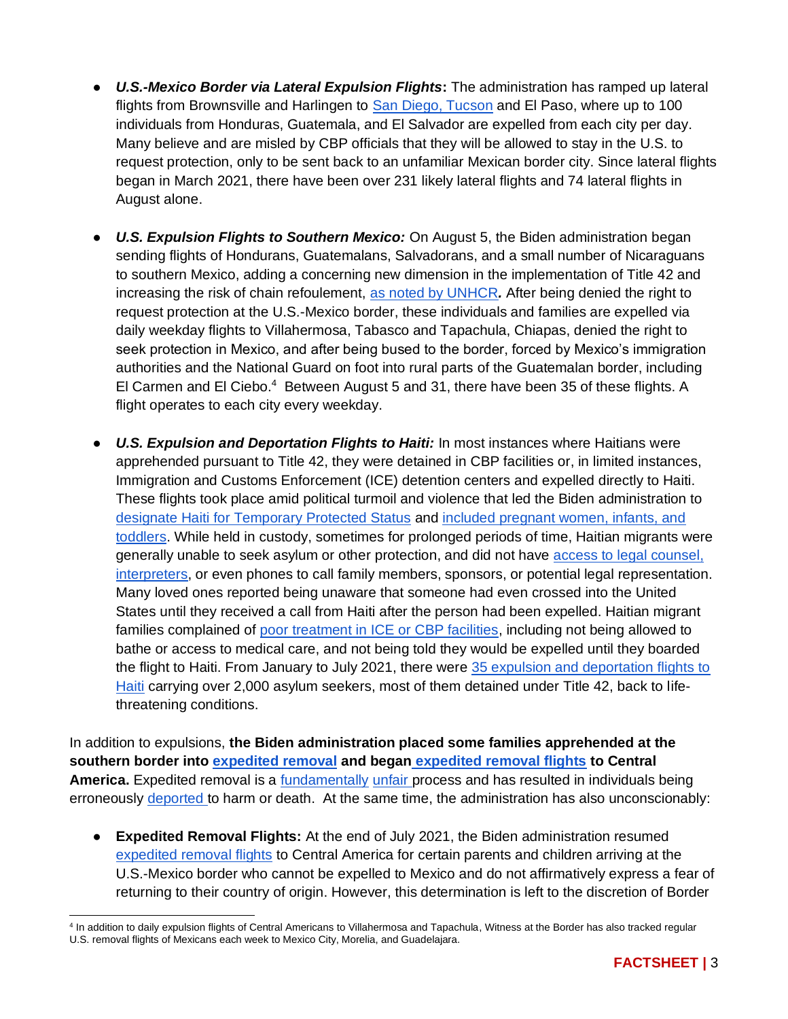- *U.S.-Mexico Border via Lateral Expulsion Flights***:** The administration has ramped up lateral flights from Brownsville and Harlingen to [San Diego, Tucson](https://www.buzzfeednews.com/article/hamedaleaziz/border-flights-immigrant-families-biden) and El Paso, where up to 100 individuals from Honduras, Guatemala, and El Salvador are expelled from each city per day. Many believe and are misled by CBP officials that they will be allowed to stay in the U.S. to request protection, only to be sent back to an unfamiliar Mexican border city. Since lateral flights began in March 2021, there have been over 231 likely lateral flights and 74 lateral flights in August alone.
- *U.S. Expulsion Flights to Southern Mexico:* On August 5, the Biden administration began sending flights of Hondurans, Guatemalans, Salvadorans, and a small number of Nicaraguans to southern Mexico, adding a concerning new dimension in the implementation of Title 42 and increasing the risk of chain refoulement, [as noted by UNHCR](https://www.unhcr.org/en-us/news/press/2021/8/6113dfc14/unhcr-concerned-expulsion-flights-under-covid-19-asylum-restrictions.html)*.* After being denied the right to request protection at the U.S.-Mexico border, these individuals and families are expelled via daily weekday flights to Villahermosa, Tabasco and Tapachula, Chiapas, denied the right to seek protection in Mexico, and after being bused to the border, forced by Mexico's immigration authorities and the National Guard on foot into rural parts of the Guatemalan border, including El Carmen and El Ciebo.<sup>4</sup> Between August 5 and 31, there have been 35 of these flights. A flight operates to each city every weekday.
- *U.S. Expulsion and Deportation Flights to Haiti:* In most instances where Haitians were apprehended pursuant to Title 42, they were detained in CBP facilities or, in limited instances, Immigration and Customs Enforcement (ICE) detention centers and expelled directly to Haiti. These flights took place amid political turmoil and violence that led the Biden administration to [designate Haiti for Temporary Protected Status](https://www.dhs.gov/news/2021/05/22/secretary-mayorkas-designates-haiti-temporary-protected-status-18-months) and [included pregnant women, infants, and](https://www.theguardian.com/us-news/2021/feb/08/us-ice-immigration-customs-enforcement-haiti-deportations)  [toddlers.](https://www.theguardian.com/us-news/2021/feb/08/us-ice-immigration-customs-enforcement-haiti-deportations) While held in custody, sometimes for prolonged periods of time, Haitian migrants were generally unable to seek asylum or other protection, and did not have [access to legal counsel,](https://www.quixote.org/wp-content/uploads/2021/03/The-Invisible-Wall.pdf)  [interpreters,](https://www.quixote.org/wp-content/uploads/2021/03/The-Invisible-Wall.pdf) or even phones to call family members, sponsors, or potential legal representation. Many loved ones reported being unaware that someone had even crossed into the United States until they received a call from Haiti after the person had been expelled. Haitian migrant families complained of [poor treatment in ICE or CBP facilities,](https://www.quixote.org/wp-content/uploads/2021/03/The-Invisible-Wall.pdf) including not being allowed to bathe or access to medical care, and not being told they would be expelled until they boarded the flight to Haiti. From January to July 2021, there were [35 expulsion and deportation flights to](https://www.aljazeera.com/news/2021/7/15/rights-groups-call-on-us-to-end-deportations-of-haitian-migrants)  [Haiti](https://www.aljazeera.com/news/2021/7/15/rights-groups-call-on-us-to-end-deportations-of-haitian-migrants) carrying over 2,000 asylum seekers, most of them detained under Title 42, back to lifethreatening conditions.

In addition to expulsions, **the Biden administration placed some families apprehended at the southern border into [expedited removal](https://www.womensrefugeecommission.org/wp-content/uploads/2021/05/Expedited-Border-Screening-Adjudication-Factsheet.pdf) and began [expedited removal flights](https://www.dhs.gov/news/2021/07/30/dhs-statement-expedited-removal-flights-certain-families) to Central America.** Expedited removal is a [fundamentally](https://www.humanrightsfirst.org/sites/default/files/LetterDHSExpeditedRemoval_2.16.21.pdf) [unfair p](https://welcomewithdignity.org/wp-content/uploads/2021/08/WWD-response-to-blueprint-and-expedited-removals.pdf)rocess and has resulted in individuals being erroneously [deported t](https://www.humanrightsfirst.org/resource/ngo-letter-urging-dhs-reject-use-expedited-removal)o harm or death. At the same time, the administration has also unconscionably:

● **Expedited Removal Flights:** At the end of July 2021, the Biden administration resumed [expedited removal flights](https://www.dhs.gov/news/2021/07/30/dhs-statement-expedited-removal-flights-certain-families) to Central America for certain parents and children arriving at the U.S.-Mexico border who cannot be expelled to Mexico and do not affirmatively express a fear of returning to their country of origin. However, this determination is left to the discretion of Border

<sup>4</sup> In addition to daily expulsion flights of Central Americans to Villahermosa and Tapachula, Witness at the Border has also tracked regular U.S. removal flights of Mexicans each week to Mexico City, Morelia, and Guadelajara.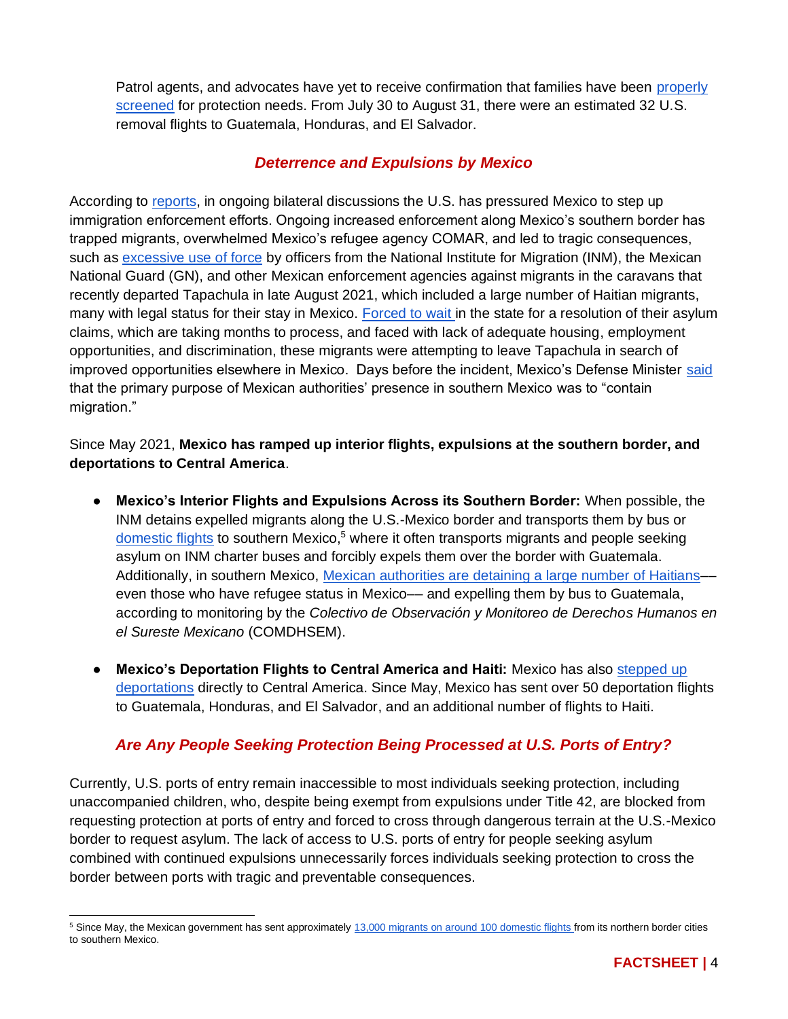Patrol agents, and advocates have yet to receive confirmation that families have been [properly](https://www.supremecourt.gov/DocketPDF/19/19-161/129461/20200122130104258_19-161%20bsac%20Immigration%20and%20Human%20Rights%20Organizations.pdf)  [screened](https://www.supremecourt.gov/DocketPDF/19/19-161/129461/20200122130104258_19-161%20bsac%20Immigration%20and%20Human%20Rights%20Organizations.pdf) for protection needs. From July 30 to August 31, there were an estimated 32 U.S. removal flights to Guatemala, Honduras, and El Salvador.

### *Deterrence and Expulsions by Mexico*

According to [reports,](https://www.buzzfeednews.com/article/hamedaleaziz/biden-mexico-migration-requests) in ongoing bilateral discussions the U.S. has pressured Mexico to step up immigration enforcement efforts. Ongoing increased enforcement along Mexico's southern border has trapped migrants, overwhelmed Mexico's refugee agency COMAR, and led to tragic consequences, such as [excessive use of force](https://www.vice.com/en/article/m7en48/mexico-embraces-afghan-refugees-as-its-soldiers-beat-asylum-seekers-traveling-by-caravan) by officers from the National Institute for Migration (INM), the Mexican National Guard (GN), and other Mexican enforcement agencies against migrants in the caravans that recently departed Tapachula in late August 2021, which included a large number of Haitian migrants, many with legal status for their stay in Mexico. [Forced to wait i](https://www.wola.org/2021/09/weekly-border-update-mexico-pushes-back-asylum-seekers-attempting-leave-remain-mexicos-awkward-restart/)n the state for a resolution of their asylum claims, which are taking months to process, and faced with lack of adequate housing, employment opportunities, and discrimination, these migrants were attempting to leave Tapachula in search of improved opportunities elsewhere in Mexico. Days before the incident, Mexico's Defense Minister [said](https://www.debate.com.mx/migracion/Mexico-quiere-acabar-con-el-sueno-americano-El-objetivo-del-Ejercito-es-detener-a-todos-los-migrantes-20210827-0084.html) that the primary purpose of Mexican authorities' presence in southern Mexico was to "contain migration."

#### Since May 2021, **Mexico has ramped up interior flights, expulsions at the southern border, and deportations to Central America**.

- **Mexico's Interior Flights and Expulsions Across its Southern Border:** When possible, the INM detains expelled migrants along the U.S.-Mexico border and transports them by bus or [domestic flights](https://www.reuters.com/world/americas/pressed-by-us-mexico-hastens-migrant-expulsions-with-flights-south-2021-08-15/) to southern Mexico,<sup>5</sup> where it often transports migrants and people seeking asylum on INM charter buses and forcibly expels them over the border with Guatemala. Additionally, in southern Mexico, Mexican authorities are detaining a large number of Haitians even those who have refugee status in Mexico— and expelling them by bus to Guatemala, according to monitoring by the *Colectivo de Observación y Monitoreo de Derechos Humanos en el Sureste Mexicano* (COMDHSEM).
- **Mexico's Deportation Flights to Central America and Haiti:** Mexico has also [stepped up](http://www.politicamigratoria.gob.mx/es/PoliticaMigratoria/CuadrosBOLETIN?Anual=2021&Secc=3)  [deportations](http://www.politicamigratoria.gob.mx/es/PoliticaMigratoria/CuadrosBOLETIN?Anual=2021&Secc=3) directly to Central America. Since May, Mexico has sent over 50 deportation flights to Guatemala, Honduras, and El Salvador, and an additional number of flights to Haiti.

## *Are Any People Seeking Protection Being Processed at U.S. Ports of Entry?*

Currently, U.S. ports of entry remain inaccessible to most individuals seeking protection, including unaccompanied children, who, despite being exempt from expulsions under Title 42, are blocked from requesting protection at ports of entry and forced to cross through dangerous terrain at the U.S.-Mexico border to request asylum. The lack of access to U.S. ports of entry for people seeking asylum combined with continued expulsions unnecessarily forces individuals seeking protection to cross the border between ports with tragic and preventable consequences.

<sup>&</sup>lt;sup>5</sup> Since May, the Mexican government has sent approximately [13,000 migrants on around 100 domestic flights f](https://www.reuters.com/world/americas/pressed-by-us-mexico-hastens-migrant-expulsions-with-flights-south-2021-08-15/)rom its northern border cities to southern Mexico.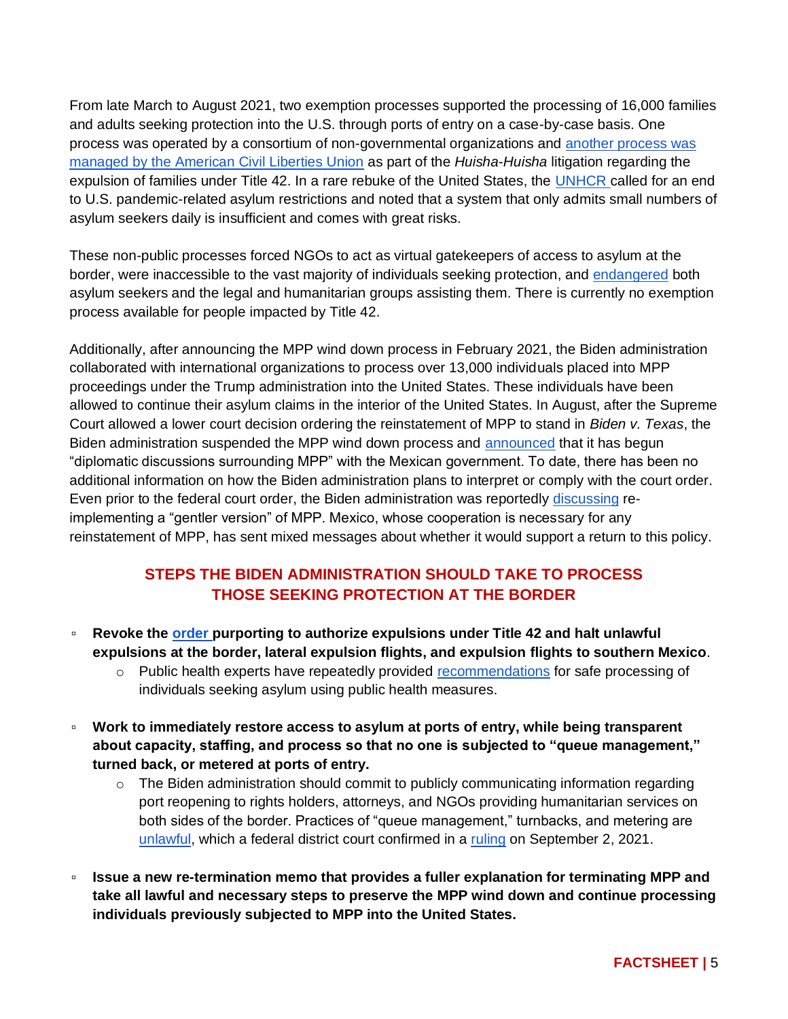From late March to August 2021, two exemption processes supported the processing of 16,000 families and adults seeking protection into the U.S. through ports of entry on a case-by-case basis. One process was operated by a consortium of non-governmental organizations and [another process was](https://www.buzzfeednews.com/article/hamedaleaziz/immigrants-humanitarian-exemptions-us-border)  [managed by the American Civil Liberties Union](https://www.buzzfeednews.com/article/hamedaleaziz/immigrants-humanitarian-exemptions-us-border) as part of the *Huisha-Huisha* litigation regarding the expulsion of families under Title 42. In a rare rebuke of the United States, the [UNHCR](https://www.unhcr.org/en-us/news/press/2021/5/60a687764/statement-attributable-un-high-commissioner-refugees-filippo-grandi-need.html) called for an end to U.S. pandemic-related asylum restrictions and noted that a system that only admits small numbers of asylum seekers daily is insufficient and comes with great risks.

These non-public processes forced NGOs to act as virtual gatekeepers of access to asylum at the border, were inaccessible to the vast majority of individuals seeking protection, and [endangered](https://www.humanrightsfirst.org/resource/human-rights-travesty-biden-administration-embrace-trump-asylum-expulsion-policy-endangers) both asylum seekers and the legal and humanitarian groups assisting them. There is currently no exemption process available for people impacted by Title 42.

Additionally, after announcing the MPP wind down process in February 2021, the Biden administration collaborated with international organizations to process over 13,000 individuals placed into MPP proceedings under the Trump administration into the United States. These individuals have been allowed to continue their asylum claims in the interior of the United States. In August, after the Supreme Court allowed a lower court decision ordering the reinstatement of MPP to stand in *Biden v. Texas*, the Biden administration suspended the MPP wind down process and [announced](https://www.dhs.gov/news/2021/08/24/dhs-statement-supreme-court-decision-mpp) that it has begun "diplomatic discussions surrounding MPP" with the Mexican government. To date, there has been no additional information on how the Biden administration plans to interpret or comply with the court order. Even prior to the federal court order, the Biden administration was reportedly [discussing](https://www.vice.com/en/article/qj8a3d/the-biden-admin-is-considering-reviving-trumps-remain-in-mexico-policy-for-migrants) reimplementing a "gentler version" of MPP. Mexico, whose cooperation is necessary for any reinstatement of MPP, has sent mixed messages about whether it would support a return to this policy.

## **STEPS THE BIDEN ADMINISTRATION SHOULD TAKE TO PROCESS THOSE SEEKING PROTECTION AT THE BORDER**

- **Revoke the [order p](https://www.cdc.gov/media/releases/2021/s080221-southern-northen-land-borders-order-extended.html)urporting to authorize expulsions under Title 42 and halt unlawful expulsions at the border, lateral expulsion flights, and expulsion flights to southern Mexico**.
	- $\circ$  Public health experts have repeatedly provided [recommendations](https://www.publichealth.columbia.edu/public-health-now/news/public-health-experts-issue-recommendations-protect-public-health-and-lives-asylum-seekers) for safe processing of individuals seeking asylum using public health measures.
- **Work to immediately restore access to asylum at ports of entry, while being transparent about capacity, staffing, and process so that no one is subjected to "queue management," turned back, or metered at ports of entry.** 
	- $\circ$  The Biden administration should commit to publicly communicating information regarding port reopening to rights holders, attorneys, and NGOs providing humanitarian services on both sides of the border. Practices of "queue management," turnbacks, and metering are [unlawful,](https://www.americanimmigrationcouncil.org/sites/default/files/litigation_documents/challenging_custom_and_border_protections_unlawful_practice_of_turning_away_asylum_seekers_complaint.pdf) which a federal district court confirmed in a [ruling](https://www.americanimmigrationcouncil.org/sites/default/files/litigation_documents/challenging_custom_and_border_protections_unlawful_practice_of_turning_away_asylum_seekers_summary_judgement_order.pdf) on September 2, 2021.
- **Issue a new re-termination memo that provides a fuller explanation for terminating MPP and take all lawful and necessary steps to preserve the MPP wind down and continue processing individuals previously subjected to MPP into the United States.**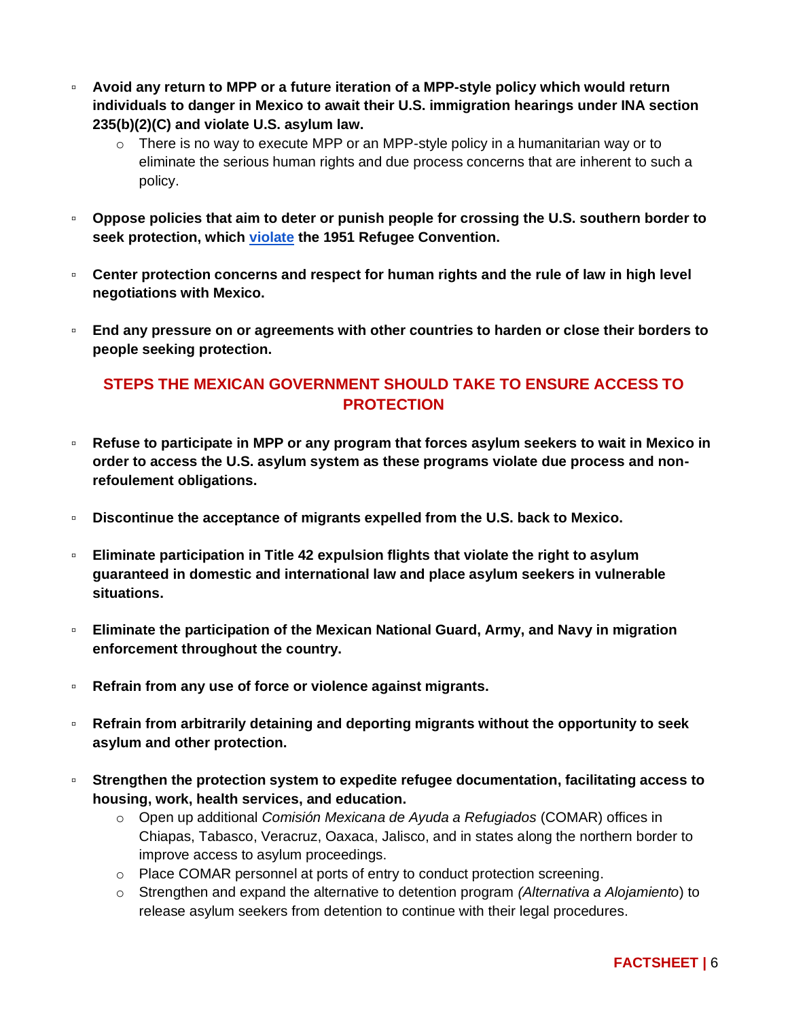- **Avoid any return to MPP or a future iteration of a MPP-style policy which would return individuals to danger in Mexico to await their U.S. immigration hearings under INA section 235(b)(2)(C) and violate U.S. asylum law.**
	- $\circ$  There is no way to execute MPP or an MPP-style policy in a humanitarian way or to eliminate the serious human rights and due process concerns that are inherent to such a policy.
- **Oppose policies that aim to deter or punish people for crossing the U.S. southern border to seek protection, which [violate](https://www.unhcr.org/en-us/3b66c2aa10) the 1951 Refugee Convention.**
- **Center protection concerns and respect for human rights and the rule of law in high level negotiations with Mexico.**
- **End any pressure on or agreements with other countries to harden or close their borders to people seeking protection.**

## **STEPS THE MEXICAN GOVERNMENT SHOULD TAKE TO ENSURE ACCESS TO PROTECTION**

- **Refuse to participate in MPP or any program that forces asylum seekers to wait in Mexico in order to access the U.S. asylum system as these programs violate due process and nonrefoulement obligations.**
- **Discontinue the acceptance of migrants expelled from the U.S. back to Mexico.**
- **Eliminate participation in Title 42 expulsion flights that violate the right to asylum guaranteed in domestic and international law and place asylum seekers in vulnerable situations.**
- **Eliminate the participation of the Mexican National Guard, Army, and Navy in migration enforcement throughout the country.**
- **Refrain from any use of force or violence against migrants.**
- **Refrain from arbitrarily detaining and deporting migrants without the opportunity to seek asylum and other protection.**
- **Strengthen the protection system to expedite refugee documentation, facilitating access to housing, work, health services, and education.**
	- o Open up additional *Comisión Mexicana de Ayuda a Refugiados* (COMAR) offices in Chiapas, Tabasco, Veracruz, Oaxaca, Jalisco, and in states along the northern border to improve access to asylum proceedings.
	- o Place COMAR personnel at ports of entry to conduct protection screening.
	- o Strengthen and expand the alternative to detention program *(Alternativa a Alojamiento*) to release asylum seekers from detention to continue with their legal procedures.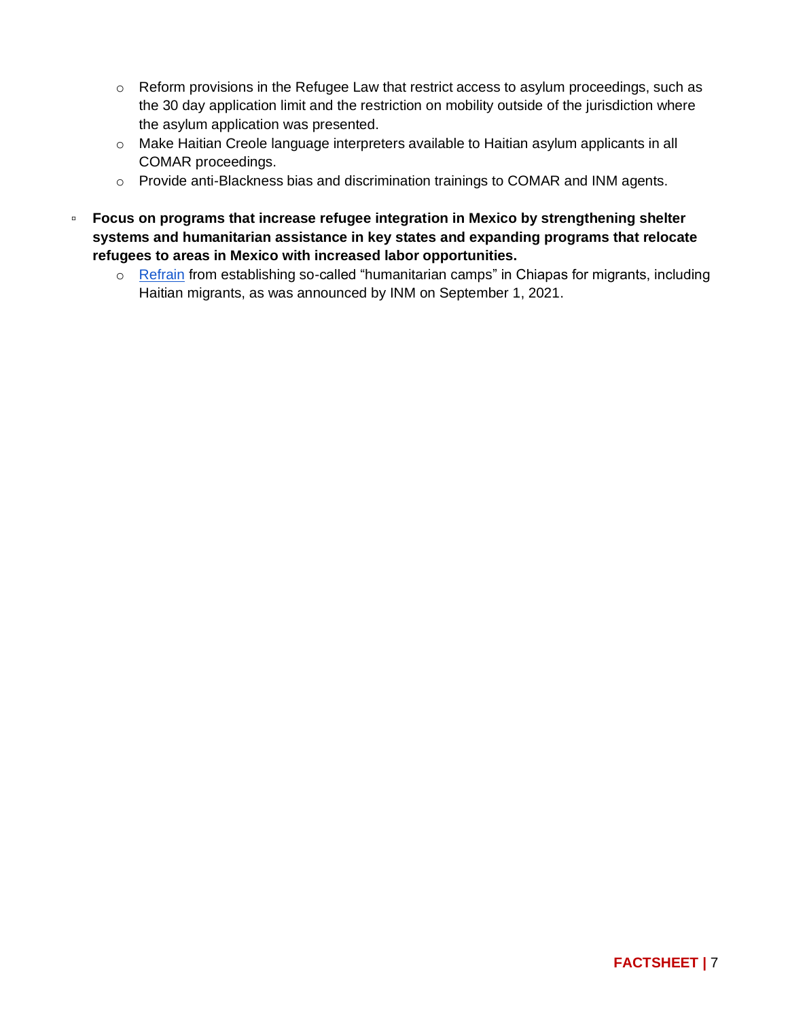- o Reform provisions in the Refugee Law that restrict access to asylum proceedings, such as the 30 day application limit and the restriction on mobility outside of the jurisdiction where the asylum application was presented.
- o Make Haitian Creole language interpreters available to Haitian asylum applicants in all COMAR proceedings.
- o Provide anti-Blackness bias and discrimination trainings to COMAR and INM agents.
- **Focus on programs that increase refugee integration in Mexico by strengthening shelter systems and humanitarian assistance in key states and expanding programs that relocate refugees to areas in Mexico with increased labor opportunities.**
	- o [Refrain](https://imumi.org/2021/09/02/gobierno-mexicano-necesita-implementar-solucion-para-la-proteccion-de-personas-migrantes-haitianas/) from establishing so-called ["humanitarian camps"](https://www.gob.mx/inm/prensa/busca-inm-suma-de-esfuerzos-para-instalar-campamento-humanitario-a-favor-de-personas-migrantes-haitianas-en-chiapas) in Chiapas for migrants, including Haitian migrants, as was announced by INM on September 1, 2021.